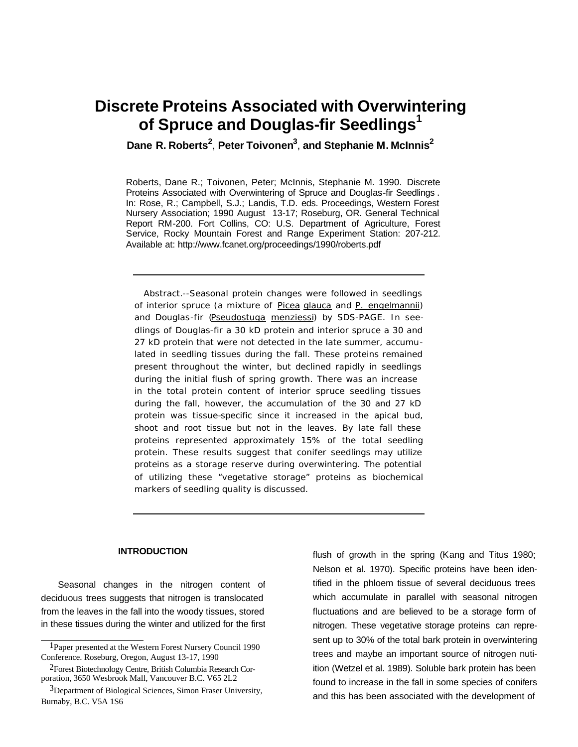# **Discrete Proteins Associated with Overwintering of Spruce and Douglas-fir Seedlings<sup>1</sup>**

**Dane R. Roberts<sup>2</sup>** , **Peter Toivonen<sup>3</sup>** , **and Stephanie M. McInnis<sup>2</sup>**

Roberts, Dane R.; Toivonen, Peter; McInnis, Stephanie M. 1990. Discrete Proteins Associated with Overwintering of Spruce and Douglas-fir Seedlings . In: Rose, R.; Campbell, S.J.; Landis, T.D. eds. Proceedings, Western Forest Nursery Association; 1990 August 13-17; Roseburg, OR. General Technical Report RM-200. Fort Collins, CO: U.S. Department of Agriculture, Forest Service, Rocky Mountain Forest and Range Experiment Station: 207-212. Available at: http://www.fcanet.org/proceedings/1990/roberts.pdf

Abstract.--Seasonal protein changes were followed in seedlings of interior spruce (a mixture of Picea glauca and P. engelmannii) and Douglas-fir (Pseudostuga menziessi) by SDS-PAGE. In seedlings of Douglas-fir a 30 kD protein and interior spruce a 30 and 27 kD protein that were not detected in the late summer, accumulated in seedling tissues during the fall. These proteins remained present throughout the winter, but declined rapidly in seedlings during the initial flush of spring growth. There was an increase in the total protein content of interior spruce seedling tissues during the fall, however, the accumulation of the 30 and 27 kD protein was tissue-specific since it increased in the apical bud, shoot and root tissue but not in the leaves. By late fall these proteins represented approximately 15% of the total seedling protein. These results suggest that conifer seedlings may utilize proteins as a storage reserve during overwintering. The potential of utilizing these "vegetative storage" proteins as biochemical markers of seedling quality is discussed.

#### **INTRODUCTION**

Seasonal changes in the nitrogen content of deciduous trees suggests that nitrogen is translocated from the leaves in the fall into the woody tissues, stored in these tissues during the winter and utilized for the first flush of growth in the spring (Kang and Titus 1980; Nelson et al. 1970). Specific proteins have been identified in the phloem tissue of several deciduous trees which accumulate in parallel with seasonal nitrogen fluctuations and are believed to be a storage form of nitrogen. These vegetative storage proteins can represent up to 30% of the total bark protein in overwintering trees and maybe an important source of nitrogen nutiition (Wetzel et al. 1989). Soluble bark protein has been found to increase in the fall in some species of conifers and this has been associated with the development of

<sup>1</sup>Paper presented at the Western Forest Nursery Council 1990 Conference. Roseburg, Oregon, August 13-17, 1990

<sup>2</sup>Forest Biotechnology Centre, British Columbia Research Corporation, 3650 Wesbrook Mall, Vancouver B.C. V65 2L2

<sup>&</sup>lt;sup>3</sup>Department of Biological Sciences, Simon Fraser University, Burnaby, B.C. V5A 1S6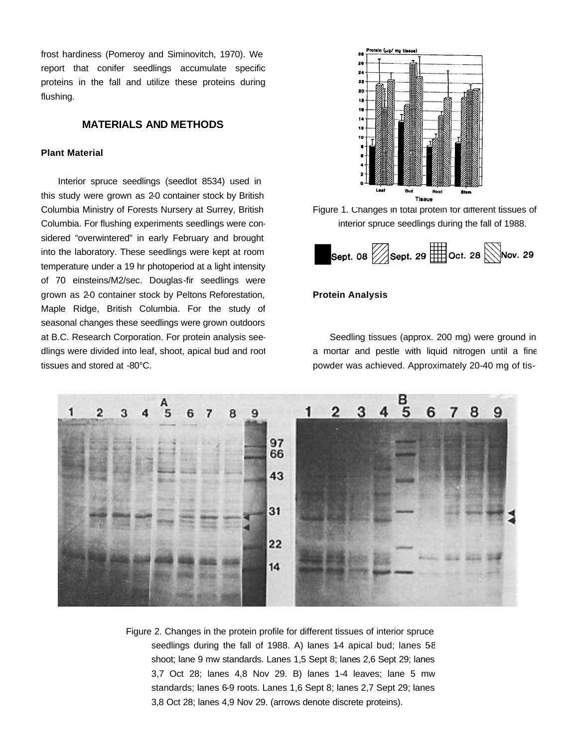frost hardiness (Pomeroy and Siminovitch, 1970). We report that conifer seedlings accumulate specific proteins in the fall and utilize these proteins during flushing.

# **MATERIALS AND METHODS**

### **Plant Material**

Interior spruce seedlings (seedlot 8534) used in this study were grown as 2-0 container stock by British Columbia Ministry of Forests Nursery at Surrey, British Columbia. For flushing experiments seedlings were considered "overwintered" in early February and brought into the laboratory. These seedlings were kept at room temperature under a 19 hr photoperiod at a light intensity of 70 einsteins/M2/sec. Douglas-fir seedlings were grown as 2-0 container stock by Peltons Reforestation, Maple Ridge, British Columbia. For the study of seasonal changes these seedlings were grown outdoors at B.C. Research Corporation. For protein analysis seedlings were divided into leaf, shoot, apical bud and root tissues and stored at -80°C.



Figure 1. Changes in total protein for different tissues of interior spruce seedlings during the fall of 1988.



### **Protein Analysis**

Seedling tissues (approx. 200 mg) were ground in a mortar and pestle with liquid nitrogen until a fine powder was achieved. Approximately 20-40 mg of tis-



Figure 2. Changes in the protein profile for different tissues of interior spruce seedlings during the fall of 1988. A) lanes  $1-4$  apical bud; lanes  $5\epsilon$ shoot; lane 9 mw standards. Lanes 1,5 Sept 8; lanes 2,6 Sept 29; lanes 3,7 Oct 28; lanes 4,8 Nov 29. B) lanes 1-4 leaves; lane 5 mw standards; lanes 6-9 roots. Lanes 1,6 Sept 8; lanes 2,7 Sept 29; lanes 3,8 Oct 28; lanes 4,9 Nov 29. (arrows denote discrete proteins).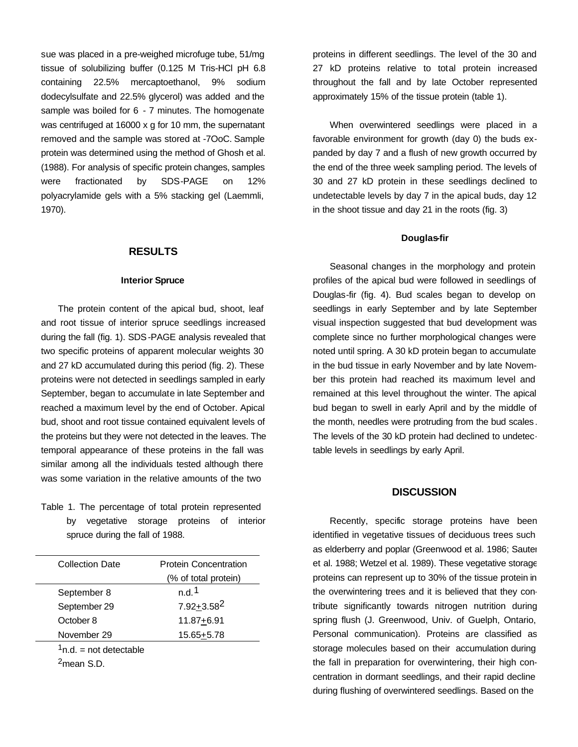sue was placed in a pre-weighed microfuge tube, 51/mg tissue of solubilizing buffer (0.125 M Tris-HCl pH 6.8 containing 22.5% mercaptoethanol, 9% sodium dodecylsulfate and 22.5% glycerol) was added and the sample was boiled for 6 - 7 minutes. The homogenate was centrifuged at 16000 x g for 10 mm, the supernatant removed and the sample was stored at -7OoC. Sample protein was determined using the method of Ghosh et al. (1988). For analysis of specific protein changes, samples were fractionated by SDS-PAGE on 12% polyacrylamide gels with a 5% stacking gel (Laemmli, 1970).

### **RESULTS**

#### **Interior Spruce**

The protein content of the apical bud, shoot, leaf and root tissue of interior spruce seedlings increased during the fall (fig. 1). SDS-PAGE analysis revealed that two specific proteins of apparent molecular weights 30 and 27 kD accumulated during this period (fig. 2). These proteins were not detected in seedlings sampled in early September, began to accumulate in late September and reached a maximum level by the end of October. Apical bud, shoot and root tissue contained equivalent levels of the proteins but they were not detected in the leaves. The temporal appearance of these proteins in the fall was similar among all the individuals tested although there was some variation in the relative amounts of the two

Table 1. The percentage of total protein represented by vegetative storage proteins of interior spruce during the fall of 1988.

| Collection Date          | <b>Protein Concentration</b> |
|--------------------------|------------------------------|
|                          | (% of total protein)         |
| September 8              | n.d.1                        |
| September 29             | 7.92+3.582                   |
| October 8                | 11.87+6.91                   |
| November 29              | 15.65+5.78                   |
| $1n.d.$ = not detectable |                              |
| <sup>2</sup> mean S.D.   |                              |

proteins in different seedlings. The level of the 30 and 27 kD proteins relative to total protein increased throughout the fall and by late October represented approximately 15% of the tissue protein (table 1).

When overwintered seedlings were placed in a favorable environment for growth (day 0) the buds expanded by day 7 and a flush of new growth occurred by the end of the three week sampling period. The levels of 30 and 27 kD protein in these seedlings declined to undetectable levels by day 7 in the apical buds, day 12 in the shoot tissue and day 21 in the roots (fig. 3)

#### **Douglas-fir**

Seasonal changes in the morphology and protein profiles of the apical bud were followed in seedlings of Douglas-fir (fig. 4). Bud scales began to develop on seedlings in early September and by late September visual inspection suggested that bud development was complete since no further morphological changes were noted until spring. A 30 kD protein began to accumulate in the bud tissue in early November and by late November this protein had reached its maximum level and remained at this level throughout the winter. The apical bud began to swell in early April and by the middle of the month, needles were protruding from the bud scales . The levels of the 30 kD protein had declined to undetectable levels in seedlings by early April.

## **DISCUSSION**

Recently, specific storage proteins have been identified in vegetative tissues of deciduous trees such as elderberry and poplar (Greenwood et al. 1986; Sauter et al. 1988; Wetzel et al. 1989). These vegetative storage proteins can represent up to 30% of the tissue protein in the overwintering trees and it is believed that they contribute significantly towards nitrogen nutrition during spring flush (J. Greenwood, Univ. of Guelph, Ontario, Personal communication). Proteins are classified as storage molecules based on their accumulation during the fall in preparation for overwintering, their high concentration in dormant seedlings, and their rapid decline during flushing of overwintered seedlings. Based on the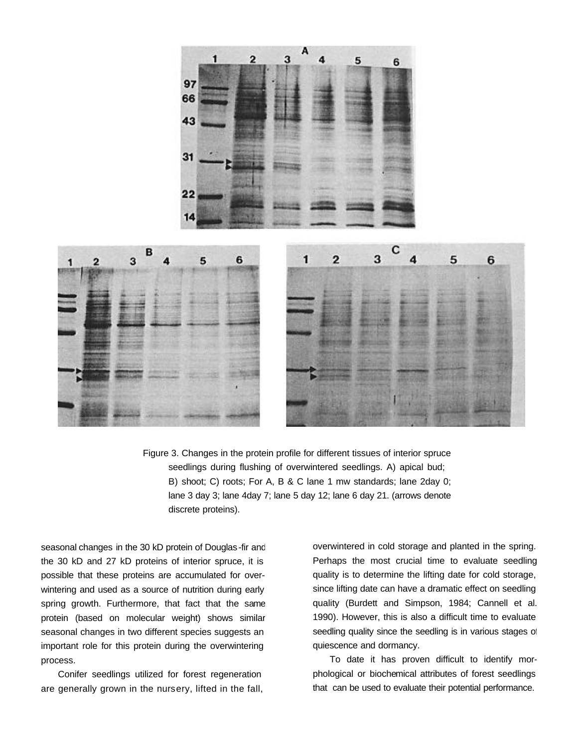



seasonal changes in the 30 kD protein of Douglas-fir and the 30 kD and 27 kD proteins of interior spruce, it is possible that these proteins are accumulated for overwintering and used as a source of nutrition during early spring growth. Furthermore, that fact that the same protein (based on molecular weight) shows similar seasonal changes in two different species suggests an important role for this protein during the overwintering process.

Conifer seedlings utilized for forest regeneration are generally grown in the nursery, lifted in the fall, overwintered in cold storage and planted in the spring. Perhaps the most crucial time to evaluate seedling quality is to determine the lifting date for cold storage, since lifting date can have a dramatic effect on seedling quality (Burdett and Simpson, 1984; Cannell et al. 1990). However, this is also a difficult time to evaluate seedling quality since the seedling is in various stages of quiescence and dormancy.

To date it has proven difficult to identify morphological or biochemical attributes of forest seedlings that can be used to evaluate their potential performance.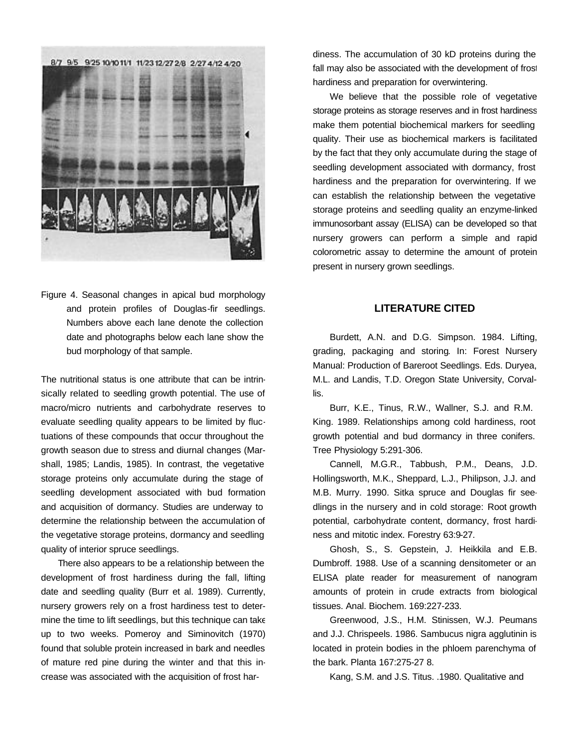

Figure 4. Seasonal changes in apical bud morphology and protein profiles of Douglas-fir seedlings. Numbers above each lane denote the collection date and photographs below each lane show the bud morphology of that sample.

The nutritional status is one attribute that can be intrinsically related to seedling growth potential. The use of macro/micro nutrients and carbohydrate reserves to evaluate seedling quality appears to be limited by fluctuations of these compounds that occur throughout the growth season due to stress and diurnal changes (Marshall, 1985; Landis, 1985). In contrast, the vegetative storage proteins only accumulate during the stage of seedling development associated with bud formation and acquisition of dormancy. Studies are underway to determine the relationship between the accumulation of the vegetative storage proteins, dormancy and seedling quality of interior spruce seedlings.

There also appears to be a relationship between the development of frost hardiness during the fall, lifting date and seedling quality (Burr et al. 1989). Currently, nursery growers rely on a frost hardiness test to determine the time to lift seedlings, but this technique can take up to two weeks. Pomeroy and Siminovitch (1970) found that soluble protein increased in bark and needles of mature red pine during the winter and that this increase was associated with the acquisition of frost hardiness. The accumulation of 30 kD proteins during the fall may also be associated with the development of frost hardiness and preparation for overwintering.

We believe that the possible role of vegetative storage proteins as storage reserves and in frost hardiness make them potential biochemical markers for seedling quality. Their use as biochemical markers is facilitated by the fact that they only accumulate during the stage of seedling development associated with dormancy, frost hardiness and the preparation for overwintering. If we can establish the relationship between the vegetative storage proteins and seedling quality an enzyme-linked immunosorbant assay (ELISA) can be developed so that nursery growers can perform a simple and rapid colorometric assay to determine the amount of protein present in nursery grown seedlings.

## **LITERATURE CITED**

Burdett, A.N. and D.G. Simpson. 1984. Lifting, grading, packaging and storing. In: Forest Nursery Manual: Production of Bareroot Seedlings. Eds. Duryea, M.L. and Landis, T.D. Oregon State University, Corvallis.

Burr, K.E., Tinus, R.W., Wallner, S.J. and R.M. King. 1989. Relationships among cold hardiness, root growth potential and bud dormancy in three conifers. Tree Physiology 5:291-306.

Cannell, M.G.R., Tabbush, P.M., Deans, J.D. Hollingsworth, M.K., Sheppard, L.J., Philipson, J.J. and M.B. Murry. 1990. Sitka spruce and Douglas fir seedlings in the nursery and in cold storage: Root growth potential, carbohydrate content, dormancy, frost hardiness and mitotic index. Forestry 63:9-27.

Ghosh, S., S. Gepstein, J. Heikkila and E.B. Dumbroff. 1988. Use of a scanning densitometer or an ELISA plate reader for measurement of nanogram amounts of protein in crude extracts from biological tissues. Anal. Biochem. 169:227-233.

Greenwood, J.S., H.M. Stinissen, W.J. Peumans and J.J. Chrispeels. 1986. Sambucus nigra agglutinin is located in protein bodies in the phloem parenchyma of the bark. Planta 167:275-27 8.

Kang, S.M. and J.S. Titus. .1980. Qualitative and